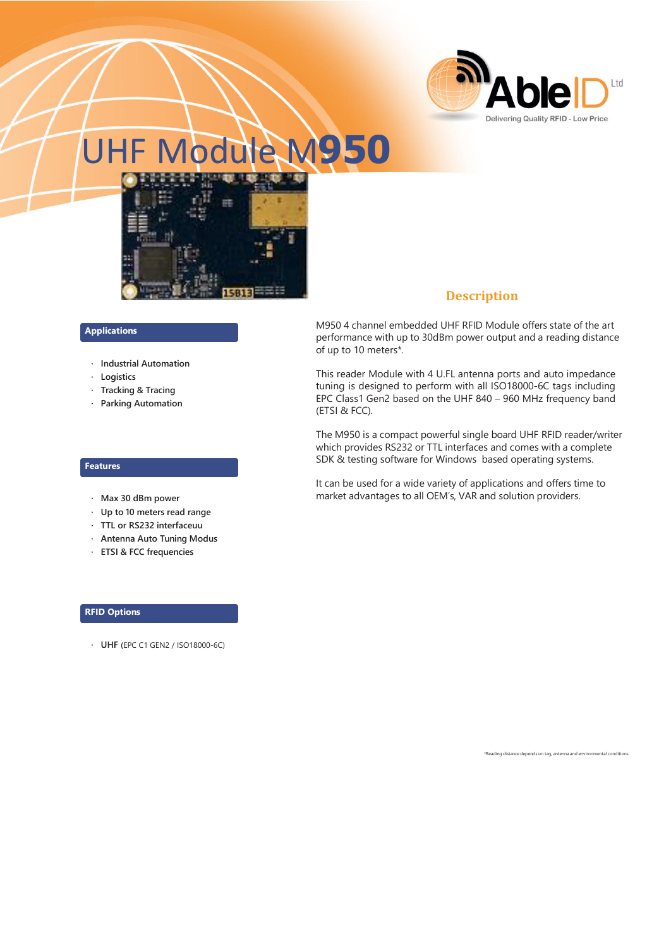

# UHF Module M**950**



#### **Applications**

- **· Industrial Automation**
- **· Logistics**
- **· Tracking & Tracing**
- **· Parking Automation**

#### **Features**

- **· Max 30 dBm power**
- **· Up to 10 meters read range**
- **· TTL or RS232 interfaceuu**
- **· Antenna Auto Tuning Modus**
- **· ETSI & FCC frequencies**

#### **RFID Options**

**· UHF (**EPC C1 GEN2 / ISO18000-6C)

## **Description**

M950 4 channel embedded UHF RFID Module offers state of the art performance with up to 30dBm power output and a reading distance of up to 10 meters\*.

This reader Module with 4 U.FL antenna ports and auto impedance tuning is designed to perform with all ISO18000-6C tags including EPC Class1 Gen2 based on the UHF 840 – 960 MHz frequency band (ETSI & FCC).

The M950 is a compact powerful single board UHF RFID reader/writer which provides RS232 or TTL interfaces and comes with a complete SDK & testing software for Windows based operating systems.

It can be used for a wide variety of applications and offers time to market advantages to all OEM's, VAR and solution providers.

\*Reading distance depends on tag, antenna and environmental conditions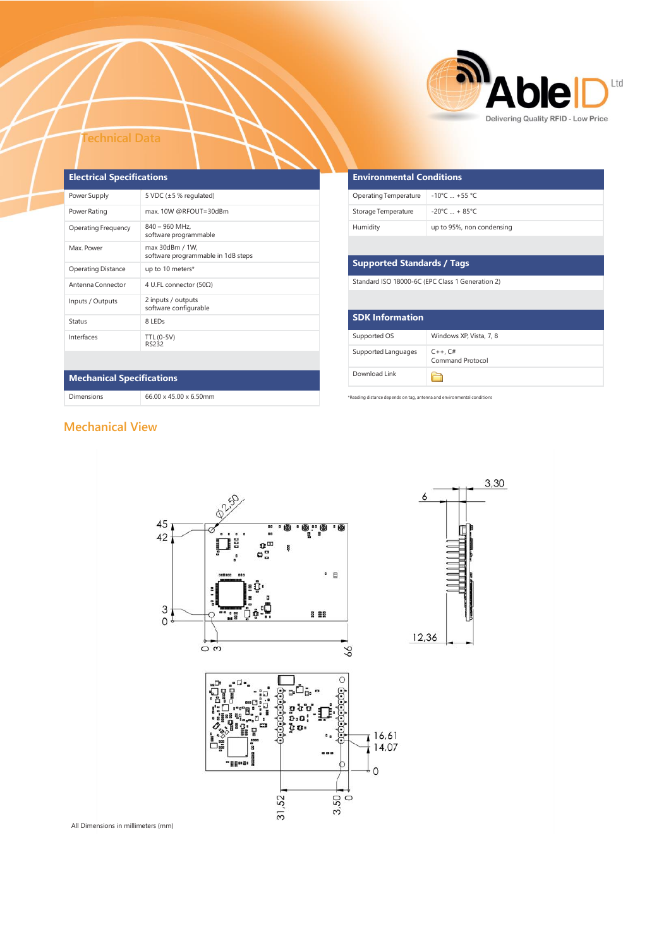

#### **Technical Data**

| <b>Electrical Specifications</b> |                                                       |  |  |
|----------------------------------|-------------------------------------------------------|--|--|
| Power Supply                     | 5 VDC $(\pm 5 %$ regulated)                           |  |  |
| Power Rating                     | max. 10W @RFOUT=30dBm                                 |  |  |
| Operating Frequency              | 840 - 960 MHz,<br>software programmable               |  |  |
| Max. Power                       | max 30dBm / 1W,<br>software programmable in 1dB steps |  |  |
| <b>Operating Distance</b>        | up to 10 meters*                                      |  |  |
| Antenna Connector                | 4 U.FL connector (50Ω)                                |  |  |
| Inputs / Outputs                 | 2 inputs / outputs<br>software configurable           |  |  |
| Status                           | 8 LED <sub>S</sub>                                    |  |  |
| Interfaces                       | TTL (0-5V)<br><b>RS232</b>                            |  |  |

| <b>Environmental Conditions</b> |                                 |  |  |
|---------------------------------|---------------------------------|--|--|
| Operating Temperature           | $-10^{\circ}$ C  +55 °C         |  |  |
| Storage Temperature             | $-20^{\circ}$ C $+85^{\circ}$ C |  |  |
| Humidity                        | up to 95%, non condensing       |  |  |

## **Supported Standards / Tags**

Standard ISO 18000-6C (EPC Class 1 Generation 2)

| <b>SDK Information</b> |                                  |
|------------------------|----------------------------------|
| Supported OS           | Windows XP, Vista, 7, 8          |
| Supported Languages    | $C++$ , $C#$<br>Command Protocol |
| Download Link          |                                  |

 $3,30$ 

Œ

\*Reading distance depends on tag, antenna and environmental conditions

# **Mechanical Specifications**

Dimensions 66.00 x 45.00 x 6.50mm

# **Mechanical View**



All Dimensions in millimeters (mm)